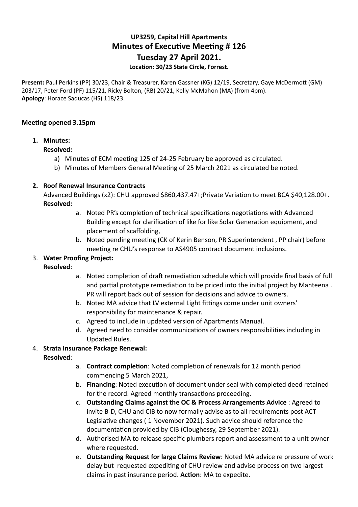# **UP3259, Capital Hill Apartments Minutes of Executive Meeting # 126 Tuesday 27 April 2021.**

## Location: 30/23 State Circle, Forrest.

Present: Paul Perkins (PP) 30/23, Chair & Treasurer, Karen Gassner (KG) 12/19, Secretary, Gaye McDermott (GM) 203/17, Peter Ford (PF) 115/21, Ricky Bolton, (RB) 20/21, Kelly McMahon (MA) (from 4pm). **Apology**: Horace Saducas (HS) 118/23.

#### **Meeting opened 3.15pm**

#### **1. Minutes:**

#### **Resolved:**

- a) Minutes of ECM meeting 125 of 24-25 February be approved as circulated.
- b) Minutes of Members General Meeting of 25 March 2021 as circulated be noted.

#### **2. Roof Renewal Insurance Contracts**

Advanced Buildings (x2): CHU approved \$860,437.47+;Private Variation to meet BCA \$40,128.00+. **Resolved:** 

- a. Noted PR's completion of technical specifications negotiations with Advanced Building except for clarification of like for like Solar Generation equipment, and placement of scaffolding,
- b. Noted pending meeting (CK of Kerin Benson, PR Superintendent, PP chair) before meeting re CHU's response to AS4905 contract document inclusions.

## 3. **Water Proofing Project:**

## **Resolved**:

- a. Noted completion of draft remediation schedule which will provide final basis of full and partial prototype remediation to be priced into the initial project by Manteena. PR will report back out of session for decisions and advice to owners.
- b. Noted MA advice that LV external Light fittings come under unit owners' responsibility for maintenance & repair.
- c. Agreed to include in updated version of Apartments Manual.
- d. Agreed need to consider communications of owners responsibilities including in Updated Rules.

## 4. **Strata Insurance Package Renewal:**

## **Resolved**:

- a. **Contract completion**: Noted completion of renewals for 12 month period commencing 5 March 2021,
- b. Financing: Noted execution of document under seal with completed deed retained for the record. Agreed monthly transactions proceeding.
- c. **Outstanding Claims against the OC & Process Arrangements Advice** : Agreed to invite B-D, CHU and CIB to now formally advise as to all requirements post ACT Legislative changes (1 November 2021). Such advice should reference the documentation provided by CIB (Cloughessy, 29 September 2021).
- d. Authorised MA to release specific plumbers report and assessment to a unit owner where requested.
- e. **Outstanding Request for large Claims Review**: Noted MA advice re pressure of work delay but requested expediting of CHU review and advise process on two largest claims in past insurance period. Action: MA to expedite.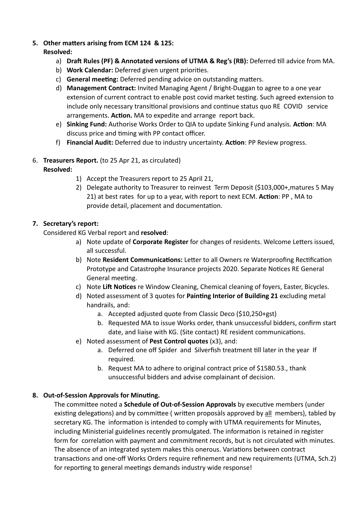## 5. Other matters arising from ECM 124 & 125:

# **Resolved:**

- a) Draft Rules (PF) & Annotated versions of UTMA & Reg's (RB): Deferred till advice from MA.
- b) Work Calendar: Deferred given urgent priorities.
- c) **General meeting:** Deferred pending advice on outstanding matters.
- d) **Management Contract:** Invited Managing Agent / Bright-Duggan to agree to a one year extension of current contract to enable post covid market testing. Such agreed extension to include only necessary transitional provisions and continue status quo RE COVID service arrangements. Action. MA to expedite and arrange report back.
- e) **Sinking Fund:** Authorise Works Order to QIA to update Sinking Fund analysis. Action: MA discuss price and timing with PP contact officer.
- f) Financial Audit: Deferred due to industry uncertainty. Action: PP Review progress.

## 6. **Treasurers Report.** (to 25 Apr 21, as circulated) **Resolved:**

- 1) Accept the Treasurers report to 25 April 21,
- 2) Delegate authority to Treasurer to reinvest Term Deposit (\$103,000+,matures 5 May 21) at best rates for up to a year, with report to next ECM. Action: PP, MA to provide detail, placement and documentation.

# **7. Secretary's report:**

Considered KG Verbal report and **resolved**:

- a) Note update of **Corporate Register** for changes of residents. Welcome Letters issued, all successful.
- b) Note **Resident Communications:** Letter to all Owners re Waterproofing Rectification Prototype and Catastrophe Insurance projects 2020. Separate Notices RE General General meeting.
- c) Note Lift Notices re Window Cleaning, Chemical cleaning of foyers, Easter, Bicycles.
- d) Noted assessment of 3 quotes for **Painting Interior of Building 21** excluding metal handrails, and:
	- a. Accepted adjusted quote from Classic Deco (\$10,250+gst)
	- b. Requested MA to issue Works order, thank unsuccessful bidders, confirm start date, and liaise with KG. (Site contact) RE resident communications.
- e) Noted assessment of **Pest Control quotes** (x3), and:
	- a. Deferred one off Spider and Silverfish treatment till later in the year If required.
	- b. Request MA to adhere to original contract price of \$1580.53., thank unsuccessful bidders and advise complainant of decision.

# 8. Out-of-Session Approvals for Minuting.

The committee noted a **Schedule of Out-of-Session Approvals** by executive members (under existing delegations) and by committee ( written proposàls approved by all members), tabled by secretary KG. The information is intended to comply with UTMA requirements for Minutes, including Ministerial guidelines recently promulgated. The information is retained in register form for correlation with payment and commitment records, but is not circulated with minutes. The absence of an integrated system makes this onerous. Variations between contract transactions and one-off Works Orders require refinement and new requirements (UTMA, Sch.2) for reporting to general meetings demands industry wide response!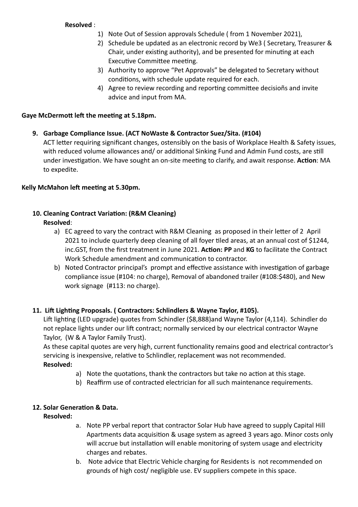## **Resolved** :

- 1) Note Out of Session approvals Schedule ( from 1 November 2021),
- 2) Schedule be updated as an electronic record by We3 ( Secretary, Treasurer & Chair, under existing authority), and be presented for minuting at each Executive Committee meeting.
- 3) Authority to approve "Pet Approvals" be delegated to Secretary without conditions, with schedule update required for each.
- 4) Agree to review recording and reporting committee decisions and invite advice and input from MA.

## Gaye McDermott left the meeting at 5.18pm.

**9. Garbage Compliance Issue. (ACT NoWaste & Contractor Suez/Sita. (#104)** 

ACT letter requiring significant changes, ostensibly on the basis of Workplace Health & Safety issues, with reduced volume allowances and/ or additional Sinking Fund and Admin Fund costs, are still under investigation. We have sought an on-site meeting to clarify, and await response. Action: MA to expedite.

# Kelly McMahon left meeting at 5.30pm.

## **10. Cleaning Contract Variation: (R&M Cleaning) Resolved**:

- a) EC agreed to vary the contract with R&M Cleaning as proposed in their letter of 2 April 2021 to include quarterly deep cleaning of all foyer tiled areas, at an annual cost of \$1244, inc.GST, from the first treatment in June 2021. Action: PP and KG to facilitate the Contract Work Schedule amendment and communication to contractor.
- b) Noted Contractor principal's prompt and effective assistance with investigation of garbage compliance issue (#104: no charge), Removal of abandoned trailer (#108:\$480), and New work signage (#113: no charge).

# **11. Lift Lighting Proposals. ( Contractors: Schlindlers & Wayne Taylor, #105).**

Lift lighting (LED upgrade) quotes from Schindler (\$8,888)and Wayne Taylor (4,114). Schindler do not replace lights under our lift contract; normally serviced by our electrical contractor Wayne Taylor, (W & A Taylor Family Trust).

As these capital quotes are very high, current functionality remains good and electrical contractor's servicing is inexpensive, relative to Schlindler, replacement was not recommended. **Resolved:** 

- a) Note the quotations, thank the contractors but take no action at this stage.
- b) Reaffirm use of contracted electrician for all such maintenance requirements.

# **12. Solar Generation & Data.**

## **Resolved:**

- a. Note PP verbal report that contractor Solar Hub have agreed to supply Capital Hill Apartments data acquisition & usage system as agreed 3 years ago. Minor costs only will accrue but installation will enable monitoring of system usage and electricity charges and rebates.
- b. Note advice that Electric Vehicle charging for Residents is not recommended on grounds of high cost/ negligible use. EV suppliers compete in this space.